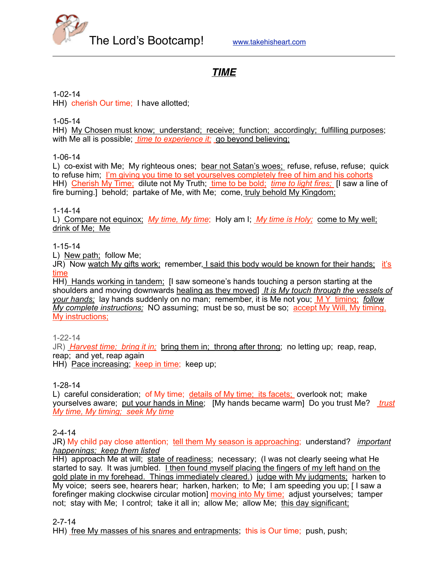

# *TIME*

1-02-14

HH) cherish Our time; I have allotted;

1-05-14

HH) My Chosen must know; understand; receive; function; accordingly; fulfilling purposes; with Me all is possible; *time to experience it;* go beyond believing;

1-06-14

L) co-exist with Me; My righteous ones; bear not Satan's woes; refuse, refuse, refuse; quick to refuse him; I'm giving you time to set yourselves completely free of him and his cohorts HH) Cherish My Time; dilute not My Truth; time to be bold; *time to light fires;* [I saw a line of fire burning.] behold; partake of Me, with Me; come, truly behold My Kingdom;

1-14-14

L) Compare not equinox; *My time, My time*; Holy am I; *My time is Holy;* come to My well; drink of Me; Me

#### 1-15-14

L) New path; follow Me;

JR) Now watch My gifts work; remember, I said this body would be known for their hands; it's time

HH) Hands working in tandem; [I saw someone's hands touching a person starting at the shoulders and moving downwards healing as they moved] *It is My touch through the vessels of your hands;* lay hands suddenly on no man; remember, it is Me not you; M Y timing; *follow My complete instructions;* NO assuming; must be so, must be so; accept My Will, My timing, My instructions;

1-22-14

JR) *Harvest time; bring it in;* bring them in; throng after throng; no letting up; reap, reap, reap; and yet, reap again

HH) Pace increasing; keep in time; keep up;

### 1-28-14

L) careful consideration; of My time; details of My time; its facets; overlook not; make yourselves aware; put your hands in Mine; [My hands became warm] Do you trust Me? *trust My time, My timing; seek My time*

### 2-4-14

JR) My child pay close attention; tell them My season is approaching; understand? *important happenings; keep them listed*

HH) approach Me at will; state of readiness; necessary; (I was not clearly seeing what He started to say. It was jumbled. I then found myself placing the fingers of my left hand on the gold plate in my forehead. Things immediately cleared.) judge with My judgments; harken to My voice; seers see, hearers hear; harken, harken; to Me; I am speeding you up; [ I saw a forefinger making clockwise circular motion] moving into My time; adjust yourselves; tamper not; stay with Me; I control; take it all in; allow Me; allow Me; this day significant;

2-7-14

HH) free My masses of his snares and entrapments; this is Our time; push, push;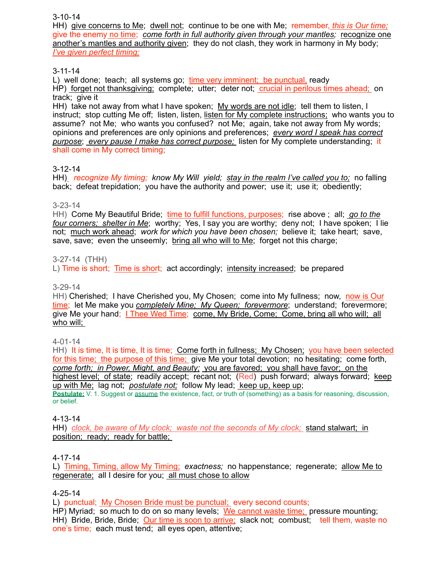3-10-14

HH) give concerns to Me; dwell not; continue to be one with Me; remember, *this is Our time;* give the enemy no time; *come forth in full authority given through your mantles;* recognize one another's mantles and authority given; they do not clash, they work in harmony in My body; *I've given perfect timing;*

### 3-11-14

L) well done; teach; all systems go; time very imminent; be punctual, ready HP) forget not thanksgiving; complete; utter; deter not; crucial in perilous times ahead; on track; give it

HH) take not away from what I have spoken; My words are not idle; tell them to listen, I instruct; stop cutting Me off; listen, listen, listen for My complete instructions; who wants you to assume? not Me; who wants you confused? not Me; again, take not away from My words; opinions and preferences are only opinions and preferences; *every word I speak has correct purpose*; *every pause I make has correct purpose;* listen for My complete understanding; it shall come in My correct timing;

### 3-12-14

HH) *recognize My timing; know My Will yield; stay in the realm I've called you to;* no falling back; defeat trepidation; you have the authority and power; use it; use it; obediently;

### 3-23-14

HH) Come My Beautiful Bride; time to fulfill functions, purposes; rise above ; all; *go to the four corners; shelter in Me*; worthy; Yes, I say you are worthy; deny not; I have spoken; I lie not; much work ahead; *work for which you have been chosen;* believe it; take heart; save, save, save; even the unseemly; bring all who will to Me; forget not this charge;

### 3-27-14 (THH)

L) Time is short; Time is short; act accordingly; intensity increased; be prepared

### 3-29-14

HH) Cherished; I have Cherished you, My Chosen; come into My fullness; now, now is Our time; let Me make you *completely Mine; My Queen; forevermore*; understand; forevermore; give Me your hand; I Thee Wed Time; come, My Bride, Come; Come, bring all who will; all who will;

### 4-01-14

HH) It is time, It is time, It is time; Come forth in fullness; My Chosen; you have been selected for this time; the purpose of this time; give Me your total devotion; no hesitating; come forth, *come forth; in Power, Might, and Beauty;* you are favored; you shall have favor; on the highest level; of state; readily accept; recant not; (Red) push forward; always forward; keep up with Me; lag not; *postulate not;* follow My lead; keep up, keep up; **Postulate:** V. 1. Suggest or assume the existence, fact, or truth of (something) as a basis for reasoning, discussion, or belief.

### 4-13-14

HH) *clock, be aware of My clock; waste not the seconds of My clock;* stand stalwart; in position; ready; ready for battle;

### 4-17-14

L) Timing, Timing, allow My Timing; *exactness;* no happenstance; regenerate; allow Me to regenerate; all I desire for you; all must chose to allow

### 4-25-14

L) punctual; My Chosen Bride must be punctual; every second counts;

HP) Myriad; so much to do on so many levels; We cannot waste time; pressure mounting; HH) Bride, Bride, Bride; Our time is soon to arrive; slack not; combust; tell them, waste no one's time; each must tend; all eyes open, attentive;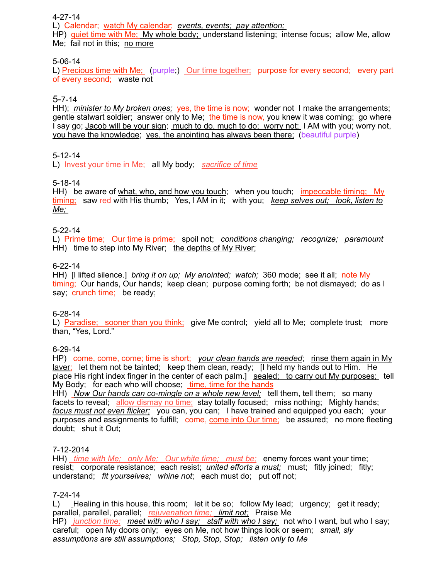#### 4-27-14

L) Calendar; watch My calendar; *events, events; pay attention;* 

HP) quiet time with Me; My whole body; understand listening; intense focus; allow Me, allow Me; fail not in this; no more

#### 5-06-14

L) Precious time with Me; (purple;) Our time together; purpose for every second; every part of every second; waste not

### 5-7-14

HH); *minister to My broken ones;* yes, the time is now; wonder not I make the arrangements; gentle stalwart soldier; answer only to Me; the time is now, you knew it was coming; go where I say go; Jacob will be your sign; much to do, much to do; worry not; I AM with you; worry not, you have the knowledge; yes, the anointing has always been there; (beautiful purple)

### 5-12-14

L) Invest your time in Me; all My body; *sacrifice of time*

#### 5-18-14

HH) be aware of what, who, and how you touch; when you touch; impeccable timing; My timing; saw red with His thumb; Yes, I AM in it; with you; *keep selves out; look, listen to Me;* 

#### 5-22-14

L) Prime time; Our time is prime; spoil not; *conditions changing; recognize; paramount* HH) time to step into My River; the depths of My River;

#### 6-22-14

HH) [I lifted silence.] *bring it on up; My anointed; watch;* 360 mode; see it all; note My timing; Our hands, Our hands; keep clean; purpose coming forth; be not dismayed; do as I say; crunch time; be ready;

#### 6-28-14

L) Paradise; sooner than you think; give Me control; yield all to Me; complete trust; more than, "Yes, Lord."

6-29-14

HP) come, come, come; time is short; *your clean hands are needed*; rinse them again in My laver; let them not be tainted; keep them clean, ready; [I held my hands out to Him. He place His right index finger in the center of each palm.] sealed; to carry out My purposes; tell My Body; for each who will choose; time, time for the hands

HH) *Now Our hands can co-mingle on a whole new level;* tell them, tell them; so many facets to reveal; allow dismay no time; stay totally focused; miss nothing; Mighty hands; *focus must not even flicker;* you can, you can; I have trained and equipped you each; your purposes and assignments to fulfill; come, come into Our time; be assured; no more fleeting doubt; shut it Out;

#### 7-12-2014

HH) *time with Me; only Me; Our white time; must be;* enemy forces want your time; resist; corporate resistance; each resist; *united efforts a must;* must; fitly joined; fitly; understand; *fit yourselves; whine not*; each must do; put off not;

#### 7-24-14

L) Healing in this house, this room; let it be so; follow My lead; urgency; get it ready; parallel, parallel, parallel; *rejuvenation time; limit not;* Praise Me HP) *junction time; meet with who I say; staff with who I say;* not who I want, but who I say; careful; open My doors only; eyes on Me, not how things look or seem; *small, sly assumptions are still assumptions; Stop, Stop, Stop; listen only to Me*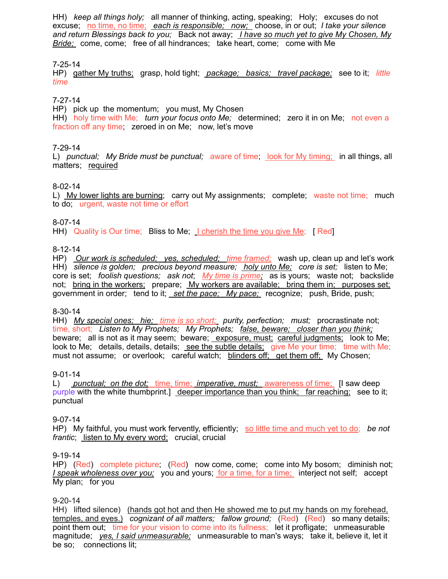HH) *keep all things holy;* all manner of thinking, acting, speaking; Holy; excuses do not excuse; no time, no time; *each is responsible; now;* choose, in or out; *I take your silence and return Blessings back to you;* Back not away; *I have so much yet to give My Chosen, My Bride;* come, come; free of all hindrances; take heart, come; come with Me

### 7-25-14

HP) gather My truths; grasp, hold tight; *package; basics; travel package;* see to it; *little time*

### 7-27-14

HP) pick up the momentum; you must, My Chosen HH) holy time with Me; *turn your focus onto Me;* determined; zero it in on Me; not even a fraction off any time; zeroed in on Me; now, let's move

#### 7-29-14

L) *punctual; My Bride must be punctual;* aware of time; look for My timing; in all things, all matters; required

#### 8-02-14

L) My lower lights are burning; carry out My assignments; complete; waste not time; much to do; urgent, waste not time or effort

#### 8-07-14

HH) Quality is Our time; Bliss to Me; I cherish the time you give Me; [ Red]

#### 8-12-14

HP) *Our work is scheduled; yes, scheduled; time framed;* wash up, clean up and let's work HH) *silence is golden; precious beyond measure; holy unto Me; core is set;* listen to Me; core is set; *foolish questions; ask not*; *My time is prime;* as is yours; waste not; backslide not; bring in the workers; prepare; My workers are available; bring them in; purposes set; government in order; tend to it; *set the pace; My pace;* recognize; push, Bride, push;

#### 8-30-14

HH) *My special ones; hie; time is so short; purity, perfection; must;* procrastinate not; time, short; *Listen to My Prophets; My Prophets; false, beware; closer than you think;* beware; all is not as it may seem; beware; exposure, must; careful judgments; look to Me; look to Me; details, details, details; see the subtle details; give Me your time; time with Me; must not assume; or overlook; careful watch; blinders off; get them off; My Chosen;

#### 9-01-14

L) *punctual; on the dot;* time, time; *imperative, must;* awareness of time; [I saw deep purple with the white thumbprint.] deeper importance than you think; far reaching; see to it; punctual

#### 9-07-14

HP) My faithful, you must work fervently, efficiently; so little time and much yet to do; *be not frantic*; listen to My every word; crucial, crucial

### 9-19-14

HP) (Red) complete picture; (Red) now come, come; come into My bosom; diminish not; *I speak wholeness over you;* you and yours; for a time, for a time; interject not self; accept My plan; for you

#### 9-20-14

HH) lifted silence) (hands got hot and then He showed me to put my hands on my forehead, temples, and eyes.) *cognizant of all matters; fallow ground;* (Red) (Red) so many details; point them out; time for your vision to come into its fullness;let it profligate; unmeasurable magnitude;*yes, I said unmeasurable;*unmeasurable to man's ways; take it, believe it, let it be so; connections lit;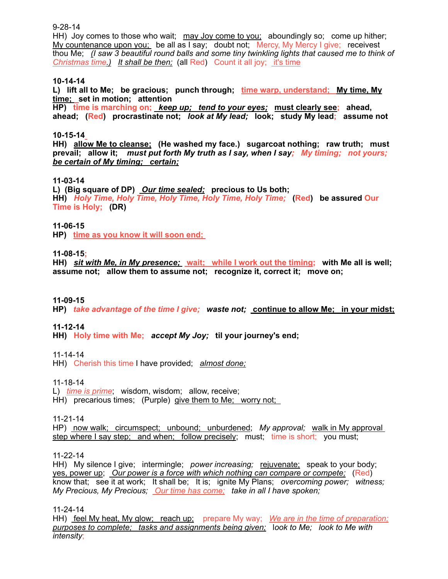9-28-14

HH) Joy comes to those who wait; may Joy come to you; aboundingly so; come up hither; My countenance upon you; be all as I say; doubt not; Mercy, My Mercy I give; receivest thou Me; *(I saw 3 beautiful round balls and some tiny twinkling lights that caused me to think of Christmas time.) It shall be then;* (all Red) Count it all joy; it's time

#### **10-14-14**

**L) lift all to Me; be gracious; punch through; time warp, understand; My time, My time; set in motion; attention**

**HP) time is marching on;** *keep up; tend to your eyes;* **must clearly see; ahead, ahead; (Red) procrastinate not;** *look at My lead;* **look; study My lead; assume not**

#### **10-15-14**

**HH) allow Me to cleanse; (He washed my face.) sugarcoat nothing; raw truth; must prevail; allow it;** *must put forth My truth as I say, when I say; My timing; not yours; be certain of My timing; certain;*

#### **11-03-14**

**L) (Big square of DP)** *Our time sealed;* **precious to Us both; HH)** *Holy Time, Holy Time, Holy Time, Holy Time, Holy Time;* **(Red) be assured Our Time is Holy; (DR)** 

#### **11-06-15**

**HP) time as you know it will soon end;** 

#### **11-08-15;**

**HH)** *sit with Me, in My presence;* **wait; while I work out the timing; with Me all is well; assume not; allow them to assume not; recognize it, correct it; move on;** 

#### **11-09-15**

**HP)** *take advantage of the time I give; waste not;* **continue to allow Me; in your midst;**

#### **11-12-14**

**HH) Holy time with Me;** *accept My Joy;* **til your journey's end;** 

11-14-14

HH) Cherish this time I have provided; *almost done;*

11-18-14

L) *time is prime*; wisdom, wisdom; allow, receive; HH) precarious times; (Purple) give them to Me; worry not;

11-21-14

HP) now walk; circumspect; unbound; unburdened; *My approval;* walk in My approval step where I say step; and when; follow precisely; must; time is short; you must;

11-22-14

HH) My silence I give; intermingle; *power increasing;* rejuvenate; speak to your body; yes, power up; *Our power is a force with which nothing can compare or compete;* (Red) know that; see it at work; It shall be; It is; ignite My Plans; *overcoming power; witness; My Precious, My Precious; Our time has come; take in all I have spoken;*

11-24-14

HH) feel My heat, My glow; reach up; prepare My way; *We are in the time of preparation; purposes to complete; tasks and assignments being given;* l*ook to Me; look to Me with intensity*;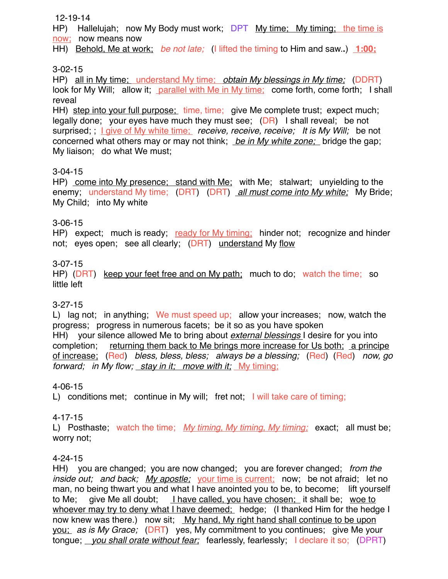### 12-19-14

HP) Hallelujah; now My Body must work; DPT My time; My timing; the time is now; now means now

HH) Behold, Me at work; *be not late;* (I lifted the timing to Him and saw.**.**) **1:00;**

# 3-02-15

HP) all in My time; understand My time; *obtain My blessings in My time;* (DDRT) look for My Will; allow it; parallel with Me in My time; come forth, come forth; I shall reveal

HH) step into your full purpose; time, time; give Me complete trust; expect much; legally done; your eyes have much they must see; (DR) I shall reveal; be not surprised; ; I give of My white time; *receive, receive, receive; It is My Will;* be not concerned what others may or may not think; *be in My white zone;* bridge the gap; My liaison; do what We must;

# 3-04-15

HP) come into My presence; stand with Me; with Me; stalwart; unyielding to the enemy; understand My time; (DRT) (DRT) *all must come into My white;* My Bride; My Child; into My white

# 3-06-15

HP) expect; much is ready; ready for My timing; hinder not; recognize and hinder not; eyes open; see all clearly; (DRT) understand My flow

# 3-07-15

HP) (DRT) keep your feet free and on My path; much to do; watch the time; so little left

# 3-27-15

L) lag not; in anything; We must speed up; allow your increases; now, watch the progress; progress in numerous facets; be it so as you have spoken HH) your silence allowed Me to bring about *external blessings* I desire for you into completion; returning them back to Me brings more increase for Us both; a principe of increase; (Red) *bless, bless, bless; always be a blessing;* (Red) (Red) *now, go forward; in My flow; stay in it; move with it;* My timing;

# 4-06-15

L) conditions met; continue in My will; fret not; I will take care of timing;

# 4-17-15

L) Posthaste; watch the time; *My timing, My timing, My timing;* exact; all must be; worry not;

# 4-24-15

HH) you are changed; you are now changed; you are forever changed; *from the inside out; and back; My apostle;* your time is current; now; be not afraid; let no man, no being thwart you and what I have anointed you to be, to become; lift yourself to Me; give Me all doubt; I have called, you have chosen; it shall be; woe to whoever may try to deny what I have deemed; hedge; (I thanked Him for the hedge I now knew was there.) now sit; My hand, My right hand shall continue to be upon you; *as is My Grace;* (DRT) yes, My commitment to you continues; give Me your tongue; *you shall orate without fear;* fearlessly, fearlessly; I declare it so; (DPRT)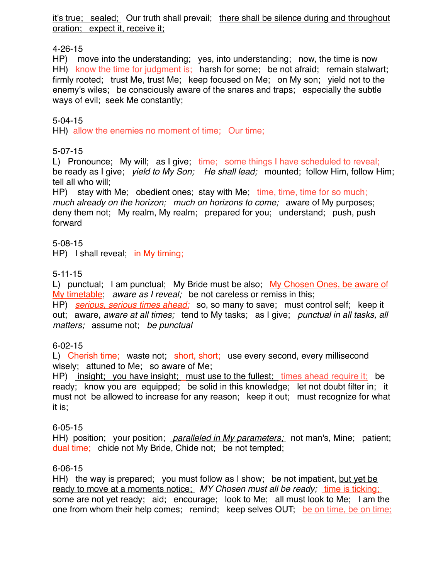it's true; sealed; Our truth shall prevail; there shall be silence during and throughout oration; expect it, receive it;

# 4-26-15

HP) move into the understanding; yes, into understanding; now, the time is now HH) know the time for judgment is; harsh for some; be not afraid; remain stalwart; firmly rooted; trust Me, trust Me; keep focused on Me; on My son; yield not to the enemy's wiles; be consciously aware of the snares and traps; especially the subtle ways of evil; seek Me constantly;

5-04-15

HH) allow the enemies no moment of time; Our time;

# 5-07-15

L) Pronounce; My will; as I give; time; some things I have scheduled to reveal; be ready as I give; *yield to My Son; He shall lead;* mounted; follow Him, follow Him; tell all who will;

HP) stay with Me; obedient ones; stay with Me; time, time, time for so much; *much already on the horizon; much on horizons to come;* aware of My purposes; deny them not; My realm, My realm; prepared for you; understand; push, push forward

5-08-15 HP) I shall reveal; in My timing;

# 5-11-15

L) punctual; I am punctual; My Bride must be also; My Chosen Ones, be aware of My timetable; *aware as I reveal;* be not careless or remiss in this;

HP) *serious, serious times ahead;* so, so many to save; must control self; keep it out; aware, *aware at all times;* tend to My tasks; as I give; *punctual in all tasks, all matters;* assume not; *be punctual*

# 6-02-15

L) Cherish time; waste not; short, short; use every second, every millisecond wisely; attuned to Me; so aware of Me;

HP) insight; you have insight; must use to the fullest; times ahead require it; be ready; know you are equipped; be solid in this knowledge; let not doubt filter in; it must not be allowed to increase for any reason; keep it out; must recognize for what it is;

# 6-05-15

HH) position; your position; *paralleled in My parameters;* not man's, Mine; patient; dual time; chide not My Bride, Chide not; be not tempted;

# 6-06-15

HH) the way is prepared; you must follow as I show; be not impatient, but yet be ready to move at a moments notice; *MY Chosen must all be ready*; <u>time is ticking;</u> some are not yet ready; aid; encourage; look to Me; all must look to Me; I am the one from whom their help comes; remind; keep selves OUT; be on time, be on time;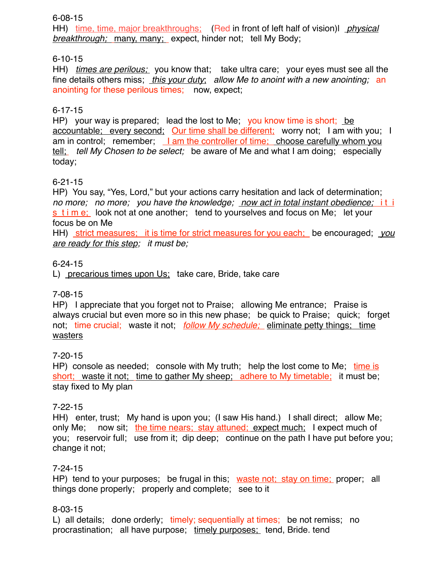6-08-15

HH) time, time, major breakthroughs; (Red in front of left half of vision)l *physical breakthrough;* many, many; expect, hinder not; tell My Body;

# 6-10-15

HH) *times are perilous;* you know that; take ultra care; your eyes must see all the fine details others miss; *this your duty*; *allow Me to anoint with a new anointing;* an anointing for these perilous times; now, expect;

# 6-17-15

HP) your way is prepared; lead the lost to Me; you know time is short; be accountable; every second; Our time shall be different; worry not; I am with you; I am in control; remember; I am the controller of time; choose carefully whom you tell; *tell My Chosen to be select;* be aware of Me and what I am doing; especially today;

# 6-21-15

HP) You say, "Yes, Lord," but your actions carry hesitation and lack of determination; *no more; no more; you have the knowledge; now act in total instant obedience;*i t i  $\frac{s \cdot \sin \theta}{s}$  look not at one another; tend to yourselves and focus on Me; let your focus be on Me

HH) strict measures; it is time for strict measures for you each; be encouraged; *you are ready for this step; it must be;* 

# 6-24-15

L) precarious times upon Us; take care, Bride, take care

# 7-08-15

HP) I appreciate that you forget not to Praise; allowing Me entrance; Praise is always crucial but even more so in this new phase; be quick to Praise; quick; forget not; time crucial; waste it not;*follow My schedule;* eliminate petty things; time wasters

# 7-20-15

HP) console as needed; console with My truth; help the lost come to Me; time is short; waste it not; time to gather My sheep; adhere to My timetable; it must be; stay fixed to My plan

# 7-22-15

HH) enter, trust; My hand is upon you; (I saw His hand.) I shall direct; allow Me; only Me; now sit; the time nears; stay attuned; expect much; I expect much of you; reservoir full; use from it; dip deep; continue on the path I have put before you; change it not;

# 7-24-15

HP) tend to your purposes; be frugal in this; waste not; stay on time; proper; all things done properly; properly and complete; see to it

# 8-03-15

L) all details; done orderly; timely; sequentially at times; be not remiss; no procrastination; all have purpose; timely purposes; tend, Bride. tend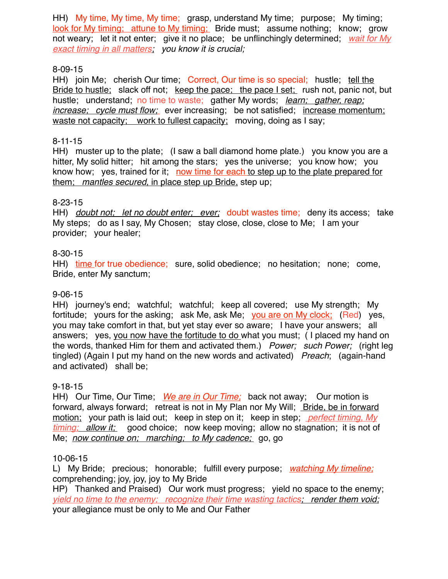HH) My time, My time, My time;grasp, understand My time;purpose; My timing; look for My timing; attune to My timing; Bride must; assume nothing; know; grow not weary; let it not enter; give it no place; be unflinchingly determined; *wait for My exact timing in all matters; you know it is crucial;*

# 8-09-15

HH) join Me; cherish Our time; Correct, Our time is so special; hustle; tell the Bride to hustle; slack off not; keep the pace; the pace I set; rush not, panic not, but hustle; understand; no time to waste; gather My words; *learn; gather, reap; increase; cycle must flow;* ever increasing; be not satisfied; increase momentum; waste not capacity; work to fullest capacity; moving, doing as I say;

# 8-11-15

HH) muster up to the plate; (I saw a ball diamond home plate.) you know you are a hitter, My solid hitter; hit among the stars; yes the universe; you know how; you know how; yes, trained for it; now time for each to step up to the plate prepared for them; *mantles secured,* in place step up Bride, step up;

# 8-23-15

HH) *doubt not; let no doubt enter; ever;* doubt wastes time; deny its access; take My steps; do as I say, My Chosen; stay close, close, close to Me; I am your provider; your healer;

# 8-30-15

HH) time for true obedience; sure, solid obedience; no hesitation; none; come, Bride, enter My sanctum;

# 9-06-15

HH) journey's end; watchful; watchful; keep all covered; use My strength; My fortitude; yours for the asking; ask Me, ask Me; you are on My clock; (Red) yes, you may take comfort in that, but yet stay ever so aware; I have your answers; all answers; yes, you now have the fortitude to do what you must; ( I placed my hand on the words, thanked Him for them and activated them.) *Power; such Power;* (right leg tingled) (Again I put my hand on the new words and activated) *Preach*; (again-hand and activated) shall be;

# 9-18-15

HH) Our Time, Our Time; *We are in Our Time;* back not away; Our motion is forward, always forward; retreat is not in My Plan nor My Will; Bride, be in forward motion;your path is laid out; keep in step on it; keep in step; *perfect timing, My timing; allow it;* good choice; now keep moving; allow no stagnation; it is not of Me; *now continue on; marching; to My cadence;* go, go

# 10-06-15

L) My Bride; precious; honorable; fulfill every purpose; *watching My timeline;* comprehending; joy, joy, joy to My Bride

HP) Thanked and Praised) Our work must progress; yield no space to the enemy; *yield no time to the enemy; recognize their time wasting tactics; render them void;* your allegiance must be only to Me and Our Father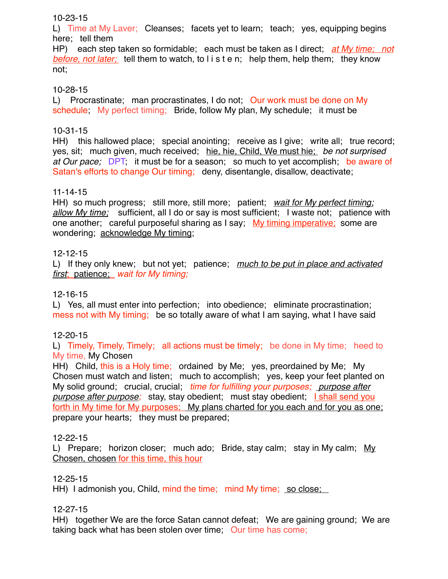### 10-23-15

L) Time at My Laver; Cleanses; facets yet to learn; teach; yes, equipping begins here; tell them

HP) each step taken so formidable; each must be taken as I direct; *at My time; not before, not later;* tell them to watch, to l i s t e n; help them, help them; they know not;

# 10-28-15

L) Procrastinate; man procrastinates, I do not; Our work must be done on My schedule; My perfect timing; Bride, follow My plan, My schedule; it must be

# 10-31-15

HH) this hallowed place; special anointing; receive as I give; write all; true record; yes, sit; much given, much received; hie, hie, Child, We must hie; *be not surprised at Our pace;*DPT; it must be for a season; so much to yet accomplish; be aware of Satan's efforts to change Our timing; deny, disentangle, disallow, deactivate;

# 11-14-15

HH) so much progress; still more, still more; patient; *wait for My perfect timing; allow My time;* sufficient, all I do or say is most sufficient; I waste not; patience with one another; careful purposeful sharing as I say; My timing imperative; some are wondering; acknowledge My timing;

# 12-12-15

L) If they only knew; but not yet; patience; *much to be put in place and activated first*; patience;*wait for My timing;* 

# 12-16-15

L) Yes, all must enter into perfection; into obedience; eliminate procrastination; mess not with My timing; be so totally aware of what I am saying, what I have said

# 12-20-15

L) Timely, Timely, Timely; all actions must be timely; be done in My time; heed to My time, My Chosen

HH) Child, this is a Holy time; ordained by Me; yes, preordained by Me; My Chosen must watch and listen; much to accomplish; yes, keep your feet planted on My solid ground; crucial, crucial; *time for fulfilling your purposes; purpose after purpose after purpose;* stay, stay obedient; must stay obedient; **I shall send you** forth in My time for My purposes;My plans charted for you each and for you as one; prepare your hearts; they must be prepared;

# 12-22-15

L) Prepare; horizon closer; much ado; Bride, stay calm; stay in My calm; My Chosen, chosen for this time, this hour

# 12-25-15

HH) I admonish you, Child, mind the time; mind My time; so close;

# 12-27-15

HH) together We are the force Satan cannot defeat; We are gaining ground; We are taking back what has been stolen over time; Our time has come;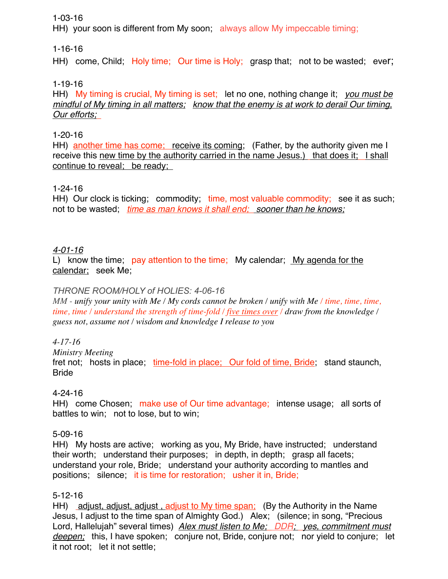# 1-03-16

HH) your soon is different from My soon; always allow My impeccable timing;

# 1-16-16

HH) come, Child; Holy time; Our time is Holy; grasp that; not to be wasted; ever;

# 1-19-16

HH) My timing is crucial, My timing is set; let no one, nothing change it; *you must be mindful of My timing in all matters; know that the enemy is at work to derail Our timing, Our efforts;* 

# 1-20-16

HH) another time has come; receive its coming; (Father, by the authority given me I receive this new time by the authority carried in the name Jesus.) that does it;I shall continue to reveal; be ready;

# 1-24-16

HH) Our clock is ticking; commodity; time, most valuable commodity; see it as such; not to be wasted; *time as man knows it shall end; sooner than he knows;*

# *4-01-16*

L) know the time;pay attention to the time; My calendar;My agenda for the calendar; seek Me;

# *THRONE ROOM/HOLY of HOLIES: 4-06-16*

*MM - unify your unity with Me / My cords cannot be broken / unify with Me / time, time, time, time, time / understand the strength of time-fold / five times over / draw from the knowledge / guess not, assume not / wisdom and knowledge I release to you*

# *4-17-16*

*Ministry Meeting*

fret not; hosts in place, time-fold in place; Our fold of time, Bride; stand staunch, **Bride** 

# 4-24-16

HH) come Chosen; make use of Our time advantage; intense usage; all sorts of battles to win; not to lose, but to win;

# 5-09-16

HH) My hosts are active; working as you, My Bride, have instructed; understand their worth; understand their purposes; in depth, in depth; grasp all facets; understand your role, Bride; understand your authority according to mantles and positions; silence; it is time for restoration; usher it in, Bride;

# 5-12-16

HH) adjust, adjust, adjust, adjust to My time span; (By the Authority in the Name Jesus, I adjust to the time span of Almighty God.) Alex; (silence; in song, "Precious Lord, Hallelujah" several times) *Alex must listen to Me; DDR; yes, commitment must deepen;* this, I have spoken; conjure not, Bride, conjure not; nor yield to conjure; let it not root; let it not settle;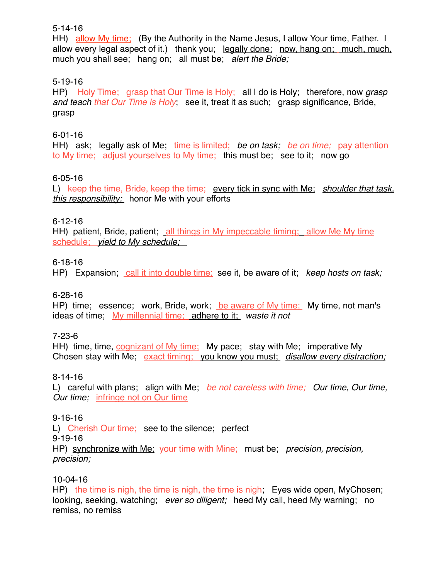5-14-16

HH) allow My time; (By the Authority in the Name Jesus, I allow Your time, Father. I allow every legal aspect of it.) thank you; legally done; now, hang on; much, much, much you shall see; hang on;all must be;*alert the Bride;*

# 5-19-16

HP) Holy Time;grasp that Our Time is Holy; all I do is Holy; therefore, now *grasp and teach that Our Time is Holy*; see it, treat it as such; grasp significance, Bride, grasp

# 6-01-16

HH) ask; legally ask of Me; time is limited; *be on task; be on time;* pay attention to My time; adjust yourselves to My time; this must be; see to it; now go

# 6-05-16

L) keep the time, Bride, keep the time; every tick in sync with Me; *shoulder that task, this responsibility;* honor Me with your efforts

# 6-12-16

HH) patient, Bride, patient; all things in My impeccable timing; allow Me My time schedule; *yield to My schedule;* 

# 6-18-16

HP) Expansion; call it into double time; see it, be aware of it; *keep hosts on task;* 

# 6-28-16

HP) time; essence; work, Bride, work; be aware of My time; My time, not man's ideas of time; My millennial time; adhere to it; *waste it not*

7-23-6

HH) time, time, cognizant of My time; My pace; stay with Me; imperative My Chosen stay with Me; exact timing; you know you must; *disallow every distraction;* 

# 8-14-16

L) careful with plans; align with Me; *be not careless with time; Our time, Our time, Our time;* infringe not on Our time

# 9-16-16

L) Cherish Our time; see to the silence; perfect

9-19-16

HP) synchronize with Me; your time with Mine; must be; *precision, precision, precision;*

# 10-04-16

HP) the time is nigh, the time is nigh, the time is nigh; Eyes wide open, MyChosen; looking, seeking, watching; *ever so diligent;* heed My call, heed My warning; no remiss, no remiss